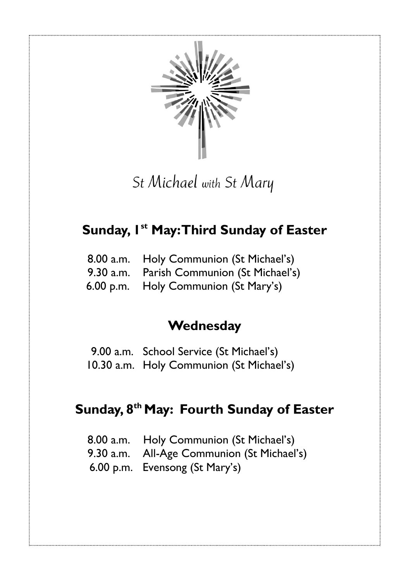

St Michael with St Mary

## **Sunday, 1st May: Third Sunday of Easter**

|  | 8.00 a.m. Holy Communion (St Michael's) |  |
|--|-----------------------------------------|--|
|--|-----------------------------------------|--|

- 9.30 a.m. Parish Communion (St Michael's)
- 6.00 p.m. Holy Communion (St Mary's)

## **Wednesday**

 9.00 a.m. School Service (St Michael's) 10.30 a.m. Holy Communion (St Michael's)

## **Sunday, 8th May: Fourth Sunday of Easter**

| 8.00 a.m. Holy Communion (St Michael's)    |
|--------------------------------------------|
| 9.30 a.m. All-Age Communion (St Michael's) |
| 6.00 p.m. Evensong (St Mary's)             |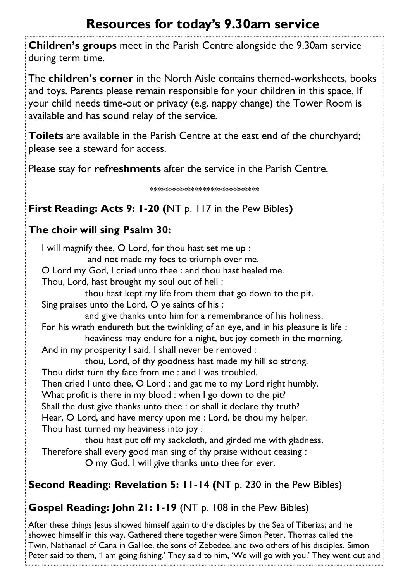## **Resources for today's 9.30am service**

**Children's groups** meet in the Parish Centre alongside the 9.30am service during term time.

The **children's corner** in the North Aisle contains themed-worksheets, books and toys. Parents please remain responsible for your children in this space. If your child needs time-out or privacy (e.g. nappy change) the Tower Room is available and has sound relay of the service.

**Toilets** are available in the Parish Centre at the east end of the churchyard; please see a steward for access.

Please stay for **refreshments** after the service in the Parish Centre.

\*\*\*\*\*\*\*\*\*\*\*\*\*\*\*\*\*\*\*\*\*\*\*\*\*\*\*

#### **First Reading: Acts 9: 1-20 (**NT p. 117 in the Pew Bibles**)**

#### **The choir will sing Psalm 30:**

I will magnify thee, O Lord, for thou hast set me up : and not made my foes to triumph over me. O Lord my God, I cried unto thee : and thou hast healed me. Thou, Lord, hast brought my soul out of hell : thou hast kept my life from them that go down to the pit. Sing praises unto the Lord, O ye saints of his : and give thanks unto him for a remembrance of his holiness. For his wrath endureth but the twinkling of an eye, and in his pleasure is life : heaviness may endure for a night, but joy cometh in the morning. And in my prosperity I said, I shall never be removed : thou, Lord, of thy goodness hast made my hill so strong. Thou didst turn thy face from me : and I was troubled. Then cried I unto thee, O Lord : and gat me to my Lord right humbly. What profit is there in my blood : when I go down to the pit? Shall the dust give thanks unto thee : or shall it declare thy truth? Hear, O Lord, and have mercy upon me : Lord, be thou my helper. Thou hast turned my heaviness into joy : thou hast put off my sackcloth, and girded me with gladness. Therefore shall every good man sing of thy praise without ceasing :

O my God, I will give thanks unto thee for ever.

### **Second Reading: Revelation 5: 11-14 (**NT p. 230 in the Pew Bibles)

### **Gospel Reading: John 21: 1-19** (NT p. 108 in the Pew Bibles)

After these things Jesus showed himself again to the disciples by the Sea of Tiberias; and he showed himself in this way. Gathered there together were Simon Peter, Thomas called the Twin, Nathanael of Cana in Galilee, the sons of Zebedee, and two others of his disciples. Simon Peter said to them, 'I am going fishing.' They said to him, 'We will go with you.' They went out and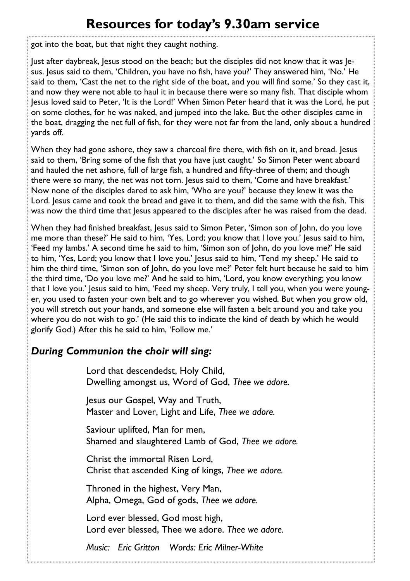## **Resources for today's 9.30am service**

got into the boat, but that night they caught nothing.

Just after daybreak, Jesus stood on the beach; but the disciples did not know that it was Jesus. Jesus said to them, 'Children, you have no fish, have you?' They answered him, 'No.' He said to them, 'Cast the net to the right side of the boat, and you will find some.' So they cast it, and now they were not able to haul it in because there were so many fish. That disciple whom Jesus loved said to Peter, 'It is the Lord!' When Simon Peter heard that it was the Lord, he put on some clothes, for he was naked, and jumped into the lake. But the other disciples came in the boat, dragging the net full of fish, for they were not far from the land, only about a hundred yards off.

When they had gone ashore, they saw a charcoal fire there, with fish on it, and bread. Jesus said to them, 'Bring some of the fish that you have just caught.' So Simon Peter went aboard and hauled the net ashore, full of large fish, a hundred and fifty-three of them; and though there were so many, the net was not torn. Jesus said to them, 'Come and have breakfast.' Now none of the disciples dared to ask him, 'Who are you?' because they knew it was the Lord. Jesus came and took the bread and gave it to them, and did the same with the fish. This was now the third time that Jesus appeared to the disciples after he was raised from the dead.

When they had finished breakfast, Jesus said to Simon Peter, 'Simon son of John, do you love me more than these?' He said to him, 'Yes, Lord; you know that I love you.' Jesus said to him, 'Feed my lambs.' A second time he said to him, 'Simon son of John, do you love me?' He said to him, 'Yes, Lord; you know that I love you.' Jesus said to him, 'Tend my sheep.' He said to him the third time, 'Simon son of John, do you love me?' Peter felt hurt because he said to him the third time, 'Do you love me?' And he said to him, 'Lord, you know everything; you know that I love you.' Jesus said to him, 'Feed my sheep. Very truly, I tell you, when you were younger, you used to fasten your own belt and to go wherever you wished. But when you grow old, you will stretch out your hands, and someone else will fasten a belt around you and take you where you do not wish to go.' (He said this to indicate the kind of death by which he would glorify God.) After this he said to him, 'Follow me.'

#### *During Communion the choir will sing:*

Lord that descendedst, Holy Child, Dwelling amongst us, Word of God, *Thee we adore.*

Jesus our Gospel, Way and Truth, Master and Lover, Light and Life, *Thee we adore.*

Saviour uplifted, Man for men, Shamed and slaughtered Lamb of God, *Thee we adore.*

Christ the immortal Risen Lord, Christ that ascended King of kings, *Thee we adore.*

Throned in the highest, Very Man, Alpha, Omega, God of gods, *Thee we adore.*

Lord ever blessed, God most high, Lord ever blessed, Thee we adore. *Thee we adore.*

*Music: Eric Gritton Words: Eric Milner-White*